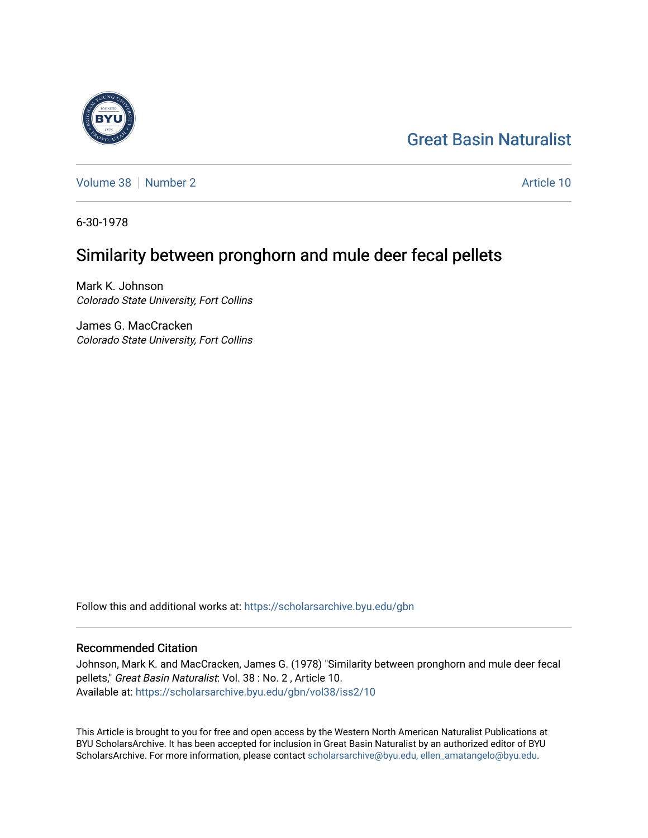## [Great Basin Naturalist](https://scholarsarchive.byu.edu/gbn)

[Volume 38](https://scholarsarchive.byu.edu/gbn/vol38) [Number 2](https://scholarsarchive.byu.edu/gbn/vol38/iss2) Article 10

6-30-1978

## Similarity between pronghorn and mule deer fecal pellets

Mark K. Johnson Colorado State University, Fort Collins

James G. MacCracken Colorado State University, Fort Collins

Follow this and additional works at: [https://scholarsarchive.byu.edu/gbn](https://scholarsarchive.byu.edu/gbn?utm_source=scholarsarchive.byu.edu%2Fgbn%2Fvol38%2Fiss2%2F10&utm_medium=PDF&utm_campaign=PDFCoverPages) 

## Recommended Citation

Johnson, Mark K. and MacCracken, James G. (1978) "Similarity between pronghorn and mule deer fecal pellets," Great Basin Naturalist: Vol. 38 : No. 2 , Article 10. Available at: [https://scholarsarchive.byu.edu/gbn/vol38/iss2/10](https://scholarsarchive.byu.edu/gbn/vol38/iss2/10?utm_source=scholarsarchive.byu.edu%2Fgbn%2Fvol38%2Fiss2%2F10&utm_medium=PDF&utm_campaign=PDFCoverPages) 

This Article is brought to you for free and open access by the Western North American Naturalist Publications at BYU ScholarsArchive. It has been accepted for inclusion in Great Basin Naturalist by an authorized editor of BYU ScholarsArchive. For more information, please contact [scholarsarchive@byu.edu, ellen\\_amatangelo@byu.edu.](mailto:scholarsarchive@byu.edu,%20ellen_amatangelo@byu.edu)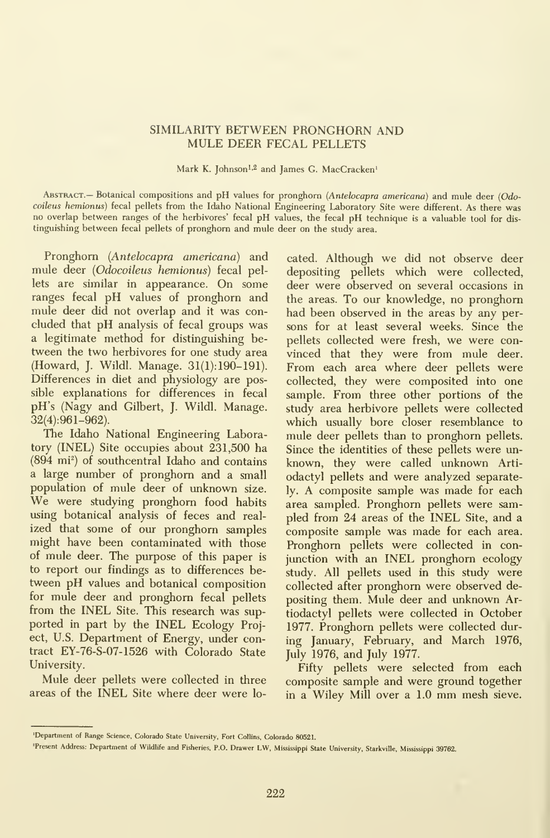## SIMILARITY BETWEEN PRONGHORN AND MULE DEER FECAL PELLETS

Mark K. Johnson<sup>1,2</sup> and James G. MacCracken<sup>1</sup>

ABSTRACT. Botanical compositions and pH values for pronghorn (Antelocapra americana) and mule deer (Odocoileus hemionus) fecal pellets from the Idaho National Engineering Laboratory Site were different. As there was no overlap between ranges of the herbivores' fecal pH values, the fecal pH technique is <sup>a</sup> valuable tool for dis tinguishing between fecal pellets of pronghom and mule deer on the study area.

Pronghom (Antelocapra americana) and mule deer (Odocoileus hemionus) fecal pellets are similar in appearance. On some ranges fecal pH values of pronghom and mule deer did not overlap and it was con cluded that pH analysis of fecal groups was a legitimate method for distinguishing between the two herbivores for one study area (Howard, J. Wildl. Manage. 31(1): 190-191). Differences in diet and physiology are possible explanations for differences in fecal pH's (Nagy and Gilbert, J. Wildl. Manage. 32(4):961-962).

The Idaho National Engineering Laboratory (INEL) Site occupies about 231,500 ha  $(894 \text{ mi}^2)$  of southcentral Idaho and contains a large number of pronghorn and a small population of mule deer of imknown size. We were studying pronghom food habits using botanical analysis of feces and real ized that some of our pronghom samples might have been contaminated with those of mule deer. The purpose of this paper is to report our findings as to differences between pH values and botanical composition for mule deer and pronghom fecal pellets from the INEL Site. This research was sup ported in part by the INEL Ecology Project, U.S. Department of Energy, under contract EY-76-S-07-1526 with Colorado State University.

Mule deer pellets were collected in three areas of the INEL Site where deer were located. Although we did not observe deer depositing pellets which were collected, deer were observed on several occasions in the areas. To our knowledge, no pronghom had been observed in the areas by any persons for at least several weeks. Since the pellets collected were fresh, we were con vinced that they were from mule deer. From each area where deer pellets were collected, they were composited into one sample. From three other portions of the study area herbivore pellets were collected which usually bore closer resemblance to mule deer pellets than to pronghom pellets. Since the identities of these pellets were un known, they were called unknown Artiodactyl pellets and were analyzed separately. A composite sample was made for each area sampled. Pronghom pellets were sampled from 24 areas of the INEL Site, and a composite sample was made for each area. Pronghom pellets were collected in conjunction with an INEL pronghom ecology study. All pellets used in this study were collected after pronghom were observed depositing them. Mule deer and unknown Artiodactyl pellets were collected in October 1977. Pronghom pellets were collected during January, February, and March 1976, July 1976, and July 1977.

Fifty pellets were selected from each composite sample and were ground together in <sup>a</sup> Wiley Mill over <sup>a</sup> 1.0 mm mesh sieve.

<sup>&#</sup>x27;Department of Range Science, Colorado State University, Fort Collins, Colorado 80521.

Present Address; Department of Wildlife and Fisheries, P.O. Drawer LW, Mississippi State University, Starkville, Mississippi 39762.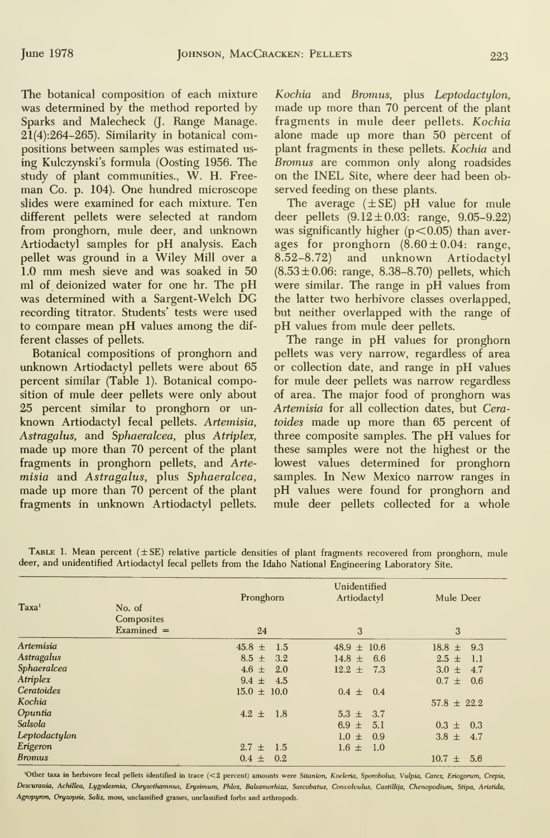The botanical composition of each mixture was determined by the method reported by Sparks and Malecheck (J. Range Manage.  $21(4):264-265$ ). Similarity in botanical compositions between samples was estimated us ing Kulczynski's formula (Costing 1956. The study of plant communities., W. H. Free man Co. p. 104). One hundred microscope slides were examined for each mixture. Ten different pellets were selected at random from pronghom, mule deer, and unknown Artiodactyl samples for pH analysis. Each pellet was ground in a Wiley Mill over a 1.0 mm mesh sieve and was soaked in <sup>50</sup> ml of deionized water for one hr. The pH was determined with <sup>a</sup> Sargent-Welch DG recording titrator. Students' tests were used to compare mean pH values among the dif ferent classes of pellets.

Botanical compositions of pronghom and unknown Artiodactyl pellets were about 65 percent similar (Table 1). Botanical composition of mule deer pellets were only about 25 percent similar to pronghom or un known Artiodactyl fecal pellets. Artemisia, Astragalus, and Sphaeralcea, plus Atriplex, made up more than 70 percent of the plant fragments in pronghorn pellets, and Artemisia and Astragalus, plus Sphaeralcea, made up more than 70 percent of the plant fragments in unknown Artiodactyl pellets.

Kochia and Bromus, plus Leptodactylon, made up more than 70 percent of the plant fragments in mule deer pellets. Kochia alone made up more than 50 percent of plant fragments in these pellets. Kochia and Bromus are common only along roadsides on the INEL Site, where deer had been observed feeding on these plants.

The average  $(\pm SE)$  pH value for mule deer pellets  $(9.12 \pm 0.03$ : range,  $9.05 - 9.22)$ was significantly higher  $(p<0.05)$  than averages for pronghorn  $(8.60 \pm 0.04;$  range, 8.52-8.72) and unknown Artiodactyl  $(8.53 \pm 0.06; \text{ range}, 8.38 - 8.70) \text{ pellets}, which$ were similar. The range in pH values from the latter two herbivore classes overlapped, but neither overlapped with the range of pH values from mule deer pellets.

The range in pH values for pronghom pellets was very narrow, regardless of area or collection date, and range in pH values for mule deer pellets was narrow regardless of area. The major food of pronghom was Artemisia for all collection dates, but Ceratoides made up more than 65 percent of three composite samples. The pH values for these samples were not the highest or the lowest values determined for pronghorn samples. In New Mexico narrow ranges in pH values were found for pronghom and mule deer pellets collected for a whole

| Pronghorn        | Artiodactyl         | Mule Deer                                         |                   |                 |                   |
|------------------|---------------------|---------------------------------------------------|-------------------|-----------------|-------------------|
|                  |                     |                                                   | 24                | 3               | 3                 |
|                  |                     |                                                   | $45.8 \pm$<br>1.5 | $48.9 \pm 10.6$ | 9.3<br>$18.8 \pm$ |
| $8.5 \pm 3.2$    | 14.8 $\pm$<br>- 6.6 | $2.5 \pm$<br>$\overline{1.1}$                     |                   |                 |                   |
| $4.6 \pm 2.0$    | $12.2 \pm$<br>7.3   | $3.0 \pm$<br>4.7                                  |                   |                 |                   |
| $9.4 \pm 4.5$    |                     | $0.7 \pm 0.6$                                     |                   |                 |                   |
|                  |                     |                                                   |                   |                 |                   |
|                  |                     | $57.8 \pm 22.2$                                   |                   |                 |                   |
| $4.2 \pm 1.8$    | 3.7<br>$5.3 \pm$    |                                                   |                   |                 |                   |
|                  | $6.9 \pm$<br>5.1    | $0.3 \pm 0.3$                                     |                   |                 |                   |
|                  | $1.0 \pm$<br>0.9    | $3.8 \pm 4.7$                                     |                   |                 |                   |
| $2.7 \pm$<br>1.5 |                     |                                                   |                   |                 |                   |
| $0.4 \pm 0.2$    |                     | 5.6<br>$10.7 \pm$                                 |                   |                 |                   |
|                  | $15.0 \pm 10.0$     | Unidentified<br>$0.4 \pm 0.4$<br>$1.6 \pm$<br>1.0 |                   |                 |                   |

TABLE 1. Mean percent  $( \pm SE)$  relative particle densities of plant fragments recovered from pronghorn, mule deer, and unidentified Artiodactyl fecal pellets from the Idaho National Engineering Laboratory Site.

'Other taxa in herbivore fecal pellets identified in trace (<2 percent) amounts were Sitanion, Koeleria, Sporobolus, Vulpia, Carex, Eriogorum, Crepis, Descurania, Achillea, Lygodesmia, Chrysothamnus, Erysimum, Phlox, Balsamorhiza, Sarcobatus, Convolvulus, Castillija, Chenopodium, Stipa, Aristida, Agropyron, Oryzopsis, Salix, moss, unclassified grasses, unclassified forbs and arthropods.